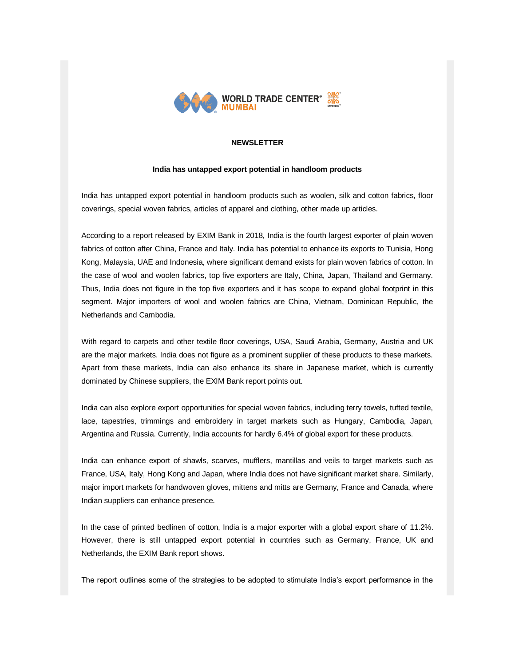

# **NEWSLETTER**

#### **India has untapped export potential in handloom products**

India has untapped export potential in handloom products such as woolen, silk and cotton fabrics, floor coverings, special woven fabrics, articles of apparel and clothing, other made up articles.

According to a report released by EXIM Bank in 2018, India is the fourth largest exporter of plain woven fabrics of cotton after China, France and Italy. India has potential to enhance its exports to Tunisia, Hong Kong, Malaysia, UAE and Indonesia, where significant demand exists for plain woven fabrics of cotton. In the case of wool and woolen fabrics, top five exporters are Italy, China, Japan, Thailand and Germany. Thus, India does not figure in the top five exporters and it has scope to expand global footprint in this segment. Major importers of wool and woolen fabrics are China, Vietnam, Dominican Republic, the Netherlands and Cambodia.

With regard to carpets and other textile floor coverings, USA, Saudi Arabia, Germany, Austria and UK are the major markets. India does not figure as a prominent supplier of these products to these markets. Apart from these markets, India can also enhance its share in Japanese market, which is currently dominated by Chinese suppliers, the EXIM Bank report points out.

India can also explore export opportunities for special woven fabrics, including terry towels, tufted textile, lace, tapestries, trimmings and embroidery in target markets such as Hungary, Cambodia, Japan, Argentina and Russia. Currently, India accounts for hardly 6.4% of global export for these products.

India can enhance export of shawls, scarves, mufflers, mantillas and veils to target markets such as France, USA, Italy, Hong Kong and Japan, where India does not have significant market share. Similarly, major import markets for handwoven gloves, mittens and mitts are Germany, France and Canada, where Indian suppliers can enhance presence.

In the case of printed bedlinen of cotton, India is a major exporter with a global export share of 11.2%. However, there is still untapped export potential in countries such as Germany, France, UK and Netherlands, the EXIM Bank report shows.

The report outlines some of the strategies to be adopted to stimulate India's export performance in the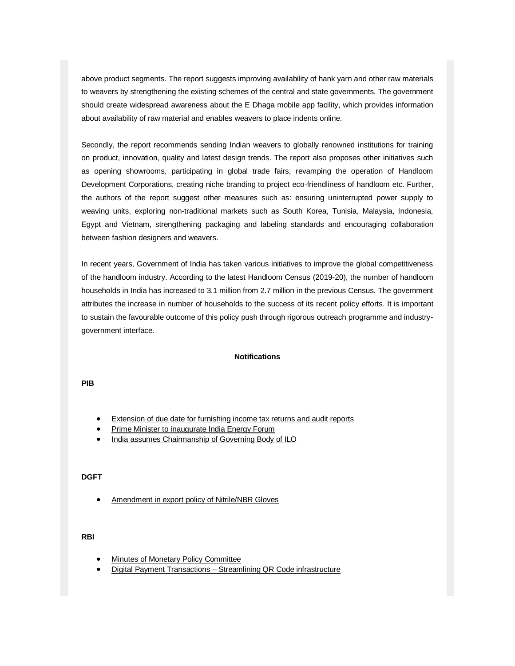above product segments. The report suggests improving availability of hank yarn and other raw materials to weavers by strengthening the existing schemes of the central and state governments. The government should create widespread awareness about the E Dhaga mobile app facility, which provides information about availability of raw material and enables weavers to place indents online.

Secondly, the report recommends sending Indian weavers to globally renowned institutions for training on product, innovation, quality and latest design trends. The report also proposes other initiatives such as opening showrooms, participating in global trade fairs, revamping the operation of Handloom Development Corporations, creating niche branding to project eco-friendliness of handloom etc. Further, the authors of the report suggest other measures such as: ensuring uninterrupted power supply to weaving units, exploring non-traditional markets such as South Korea, Tunisia, Malaysia, Indonesia, Egypt and Vietnam, strengthening packaging and labeling standards and encouraging collaboration between fashion designers and weavers.

In recent years, Government of India has taken various initiatives to improve the global competitiveness of the handloom industry. According to the latest Handloom Census (2019-20), the number of handloom households in India has increased to 3.1 million from 2.7 million in the previous Census. The government attributes the increase in number of households to the success of its recent policy efforts. It is important to sustain the favourable outcome of this policy push through rigorous outreach programme and industrygovernment interface.

#### **Notifications**

**PIB**

- [Extension of due date for furnishing income tax returns and audit reports](https://list.mg2.mlgnserv.com/track/click?u=3d39bef0aed2d0ed40e6a3dacf9bf882&id=f8eb475d&e=02a4afc680e2b3e1)
- Prime Minister [to inaugurate India Energy Forum](https://list.mg2.mlgnserv.com/track/click?u=3d39bef0aed2d0ed40e6a3dacf9bf882&id=2bda97ad&e=02a4afc680e2b3e1)
- [India assumes Chairmanship of Governing Body of ILO](https://list.mg2.mlgnserv.com/track/click?u=3d39bef0aed2d0ed40e6a3dacf9bf882&id=9cc756a9&e=02a4afc680e2b3e1)

## **DGFT**

[Amendment in export policy of Nitrile/NBR Gloves](https://list.mg2.mlgnserv.com/track/click?u=3d39bef0aed2d0ed40e6a3dacf9bf882&id=45e115a4&e=02a4afc680e2b3e1) 

## **RBI**

- [Minutes of Monetary Policy Committee](https://list.mg2.mlgnserv.com/track/click?u=3d39bef0aed2d0ed40e6a3dacf9bf882&id=f2fcd4a0&e=02a4afc680e2b3e1)
- Digital Payment Transactions [Streamlining QR Code infrastructure](https://list.mg2.mlgnserv.com/track/click?u=3d39bef0aed2d0ed40e6a3dacf9bf882&id=f7ac93be&e=02a4afc680e2b3e1)